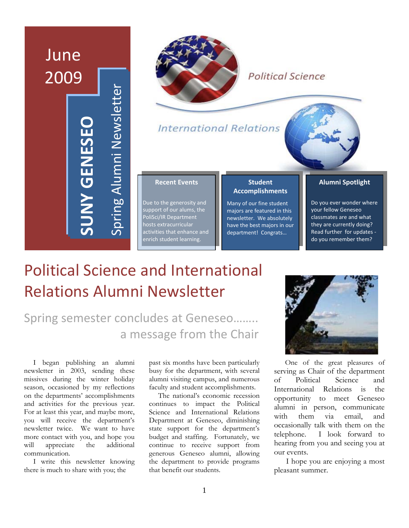# June 2009 Spring Alumni Newsletter pring Alumni Newsletter **SUNY GENESEO UNY GENESEC**



## **Political Science**

**International Relations** 

#### **Recent Events**

Due to the generosity and support of our alums, the PoliSci/IR Department hosts extracurricular activities that enhance and enrich student learning.

#### **Student Accomplishments**

Many of our fine student majors are featured in this newsletter. We absolutely have the best majors in our department! Congrats…

#### **Alumni Spotlight**

Do you ever wonder where your fellow Geneseo classmates are and what they are currently doing? Read further for updates ‐ do you remember them?

# Political Science and International Relations Alumni Newsletter

## Spring semester concludes at Geneseo…….. a message from the Chair

 I began publishing an alumni newsletter in 2003, sending these missives during the winter holiday season, occasioned by my reflections on the departments' accomplishments and activities for the previous year. For at least this year, and maybe more, you will receive the department's newsletter twice. We want to have more contact with you, and hope you will appreciate the additional communication.

 I write this newsletter knowing there is much to share with you; the

past six months have been particularly busy for the department, with several alumni visiting campus, and numerous faculty and student accomplishments.

 The national's economic recession continues to impact the Political Science and International Relations Department at Geneseo, diminishing state support for the department's budget and staffing. Fortunately, we continue to receive support from generous Geneseo alumni, allowing the department to provide programs that benefit our students.



 One of the great pleasures of serving as Chair of the department of Political Science and International Relations is the opportunity to meet Geneseo alumni in person, communicate with them via email, and occasionally talk with them on the telephone. I look forward to hearing from you and seeing you at our events.

 I hope you are enjoying a most pleasant summer.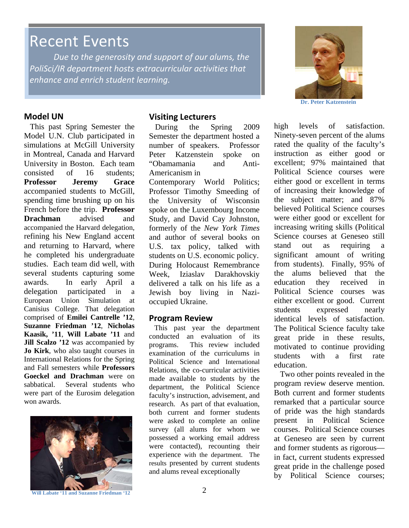## Recent Events

*Due to the generosity and support of our alums, the PoliSci/IR department hosts extracurricular activities that enhance and enrich student learning.*



#### **Model UN**

 This past Spring Semester the Model U.N. Club participated in simulations at McGill University in Montreal, Canada and Harvard University in Boston. Each team consisted of 16 students; **Professor Jeremy Grace** accompanied students to McGill, spending time brushing up on his French before the trip. **Professor Drachman** advised and accompanied the Harvard delegation, refining his New England accent and returning to Harvard, where he completed his undergraduate studies. Each team did well, with several students capturing some awards. In early April a delegation participated in a European Union Simulation at Canisius College. That delegation comprised of **Emilei Cantrelle '12**, **Suzanne Friedman '12**, **Nicholas Kaasik, '11**, **Will Labate '11** and **Jill Scalzo '12** was accompanied by **Jo Kirk**, who also taught courses in International Relations for the Spring and Fall semesters while **Professors Goeckel and Drachman** were on sabbatical. Several students who were part of the Eurosim delegation won awards.



#### **Will Labate '11 and Suzanne Friedman '12**

#### **Visiting Lecturers**

 During the Spring 2009 Semester the department hosted a number of speakers. Professor Peter Katzenstein spoke on "Obamamania and Anti-Americanism in

Contemporary World Politics; Professor Timothy Smeeding of the University of Wisconsin spoke on the Luxembourg Income Study, and David Cay Johnston, formerly of the *New York Times* and author of several books on U.S. tax policy, talked with students on U.S. economic policy. During Holocaust Remembrance Week, Iziaslav Darakhovskiy delivered a talk on his life as a Jewish boy living in Nazioccupied Ukraine.

#### **Program Review**

 This past year the department conducted an evaluation of its programs. This review included examination of the curriculums in Political Science and International Relations, the co-curricular activities made available to students by the department, the Political Science faculty's instruction, advisement, and research. As part of that evaluation, both current and former students were asked to complete an online survey (all alums for whom we possessed a working email address were contacted), recounting their experience with the department. The results presented by current students and alums reveal exceptionally

high levels of satisfaction. Ninety-seven percent of the alums rated the quality of the faculty's instruction as either good or excellent; 97% maintained that Political Science courses were either good or excellent in terms of increasing their knowledge of the subject matter; and 87% believed Political Science courses were either good or excellent for increasing writing skills (Political Science courses at Geneseo still stand out as requiring a significant amount of writing from students). Finally, 95% of the alums believed that the education they received in Political Science courses was either excellent or good. Current students expressed nearly identical levels of satisfaction. The Political Science faculty take great pride in these results, motivated to continue providing students with a first rate education.

Two other points revealed in the program review deserve mention. Both current and former students remarked that a particular source of pride was the high standards present in Political Science courses. Political Science courses at Geneseo are seen by current and former students as rigorous in fact, current students expressed great pride in the challenge posed by Political Science courses;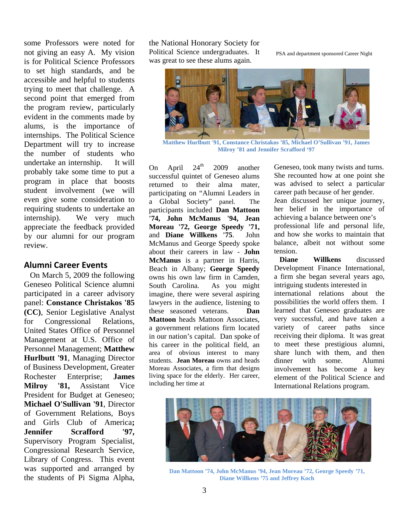some Professors were noted for not giving an easy A. My vision is for Political Science Professors to set high standards, and be accessible and helpful to students trying to meet that challenge. A second point that emerged from the program review, particularly evident in the comments made by alums, is the importance of internships. The Political Science Department will try to increase the number of students who undertake an internship. It will probably take some time to put a program in place that boosts student involvement (we will even give some consideration to requiring students to undertake an internship). We very much appreciate the feedback provided by our alumni for our program review.

#### **Alumni Career Events**

 On March 5, 2009 the following Geneseo Political Science alumni participated in a career advisory panel: **Constance Christakos '85 (CC)**, Senior Legislative Analyst for Congressional Relations, United States Office of Personnel Management at U.S. Office of Personnel Management; **Matthew Hurlbutt '91**, Managing Director of Business Development, Greater Rochester Enterprise; **James Milroy '81,** Assistant Vice President for Budget at Geneseo; **Michael O'Sullivan '91**, Director of Government Relations, Boys and Girls Club of America**; Jennifer Scrafford '97,** Supervisory Program Specialist, Congressional Research Service, Library of Congress. This event was supported and arranged by the students of Pi Sigma Alpha, the National Honorary Society for Political Science undergraduates. It was great to see these alums again.

PSA and department sponsored Career Night



**Matthew Hurlbutt '91, Constance Christakos '85, Michael O'Sullivan '91, James Milroy '81 and Jennifer Scrafford '97** 

On April  $24<sup>th</sup>$  2009 another successful quintet of Geneseo alums returned to their alma mater, participating on "Alumni Leaders in a Global Society" panel. The participants included **Dan Mattoon '74, John McManus '94, Jean Moreau '72, George Speedy '71,**  and **Diane Willkens '75**. John McManus and George Speedy spoke about their careers in law - **John McManus** is a partner in Harris, Beach in Albany; **George Speedy** owns his own law firm in Camden, South Carolina. As you might imagine, there were several aspiring lawyers in the audience, listening to these seasoned veterans. **Dan Mattoon** heads Mattoon Associates, a government relations firm located in our nation's capital. Dan spoke of his career in the political field, an area of obvious interest to many students. **Jean Moreau** owns and heads Moreau Associates, a firm that designs living space for the elderly. Her career, including her time at

Geneseo, took many twists and turns. She recounted how at one point she was advised to select a particular career path because of her gender. Jean discussed her unique journey, her belief in the importance of achieving a balance between one's professional life and personal life, and how she works to maintain that balance, albeit not without some tension.

**Diane Willkens** discussed Development Finance International, a firm she began several years ago, intriguing students interested in international relations about the possibilities the world offers them. I learned that Geneseo graduates are very successful, and have taken a variety of career paths since receiving their diploma. It was great to meet these prestigious alumni, share lunch with them, and then dinner with some. Alumni involvement has become a key element of the Political Science and International Relations program.



**Dan Mattoon '74, John McManus '94, Jean Moreau '72, George Speedy '71, Diane Willkens '75 and Jeffrey Koch**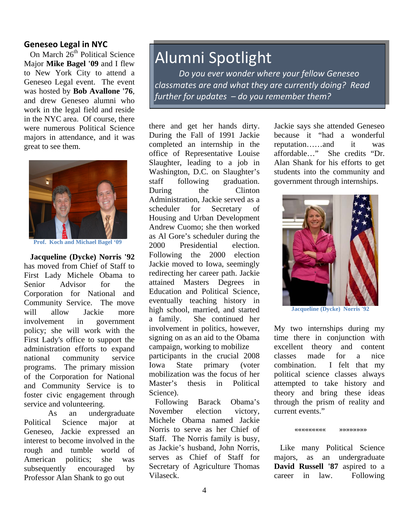#### **Geneseo Legal in NYC**

On March  $26<sup>th</sup>$  Political Science Major **Mike Bagel '09** and I flew to New York City to attend a Geneseo Legal event. The event was hosted by **Bob Avallone '76**, and drew Geneseo alumni who work in the legal field and reside in the NYC area. Of course, there were numerous Political Science majors in attendance, and it was great to see them.



**Prof. Koch and Michael Bagel '09** 

 **Jacqueline (Dycke) Norris '92** has moved from Chief of Staff to First Lady Michele Obama to Senior Advisor for the Corporation for National and Community Service. The move will allow Jackie more involvement in government policy; she will work with the First Lady's office to support the administration efforts to expand national community service programs. The primary mission of the Corporation for National and Community Service is to foster civic engagement through service and volunteering.

As an undergraduate Political Science major at Geneseo, Jackie expressed an interest to become involved in the rough and tumble world of American politics; she was subsequently encouraged by Professor Alan Shank to go out

## Alumni Spotlight

*Do you ever wonder where your fellow Geneseo classmates are and what they are currently doing? Read further for updates – do you remember them?*

l

there and get her hands dirty. During the Fall of 1991 Jackie completed an internship in the office of Representative Louise Slaughter, leading to a job in Washington, D.C. on Slaughter's staff following graduation. During the Clinton Administration, Jackie served as a scheduler for Secretary of Housing and Urban Development Andrew Cuomo; she then worked as Al Gore's scheduler during the 2000 Presidential election. Following the 2000 election Jackie moved to Iowa, seemingly redirecting her career path. Jackie attained Masters Degrees in Education and Political Science, eventually teaching history in high school, married, and started a family. She continued her involvement in politics, however, signing on as an aid to the Obama campaign, working to mobilize participants in the crucial 2008 Iowa State primary (voter mobilization was the focus of her Master's thesis in Political Science).

 Following Barack Obama's November election victory, Michele Obama named Jackie Norris to serve as her Chief of Staff. The Norris family is busy, as Jackie's husband, John Norris, serves as Chief of Staff for Secretary of Agriculture Thomas Vilaseck.

Jackie says she attended Geneseo because it "had a wonderful reputation……and it was affordable…" She credits "Dr. Alan Shank for his efforts to get students into the community and government through internships.



**Jacqueline (Dycke) Norris '92**

My two internships during my time there in conjunction with excellent theory and content classes made for a nice combination. I felt that my political science classes always attempted to take history and theory and bring these ideas through the prism of reality and current events."

#### **««««««««« »»»»»»»»**

 Like many Political Science majors, as an undergraduate **David Russell '87** aspired to a career in law. Following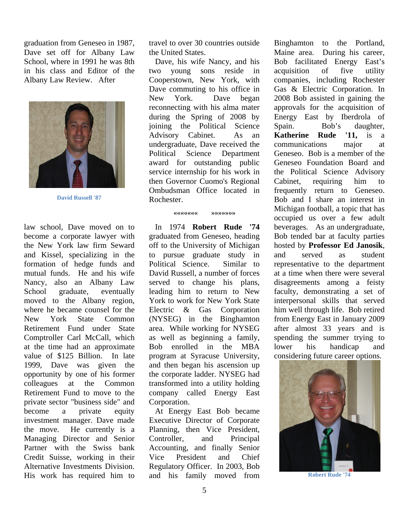graduation from Geneseo in 1987, Dave set off for Albany Law School, where in 1991 he was 8th in his class and Editor of the Albany Law Review. After



**David Russell '87** 

law school, Dave moved on to become a corporate lawyer with the New York law firm Seward and Kissel, specializing in the formation of hedge funds and mutual funds. He and his wife Nancy, also an Albany Law School graduate, eventually moved to the Albany region, where he became counsel for the New York State Common Retirement Fund under State Comptroller Carl McCall, which at the time had an approximate value of \$125 Billion. In late 1999, Dave was given the opportunity by one of his former colleagues at the Common Retirement Fund to move to the private sector "business side" and become a private equity investment manager. Dave made the move. He currently is a Managing Director and Senior Partner with the Swiss bank Credit Suisse, working in their Alternative Investments Division. His work has required him to

travel to over 30 countries outside the United States.

 Dave, his wife Nancy, and his two young sons reside in Cooperstown, New York, with Dave commuting to his office in New York. Dave began reconnecting with his alma mater during the Spring of 2008 by joining the Political Science Advisory Cabinet. As an undergraduate, Dave received the Political Science Department award for outstanding public service internship for his work in then Governor Cuomo's Regional Ombudsman Office located in Rochester.

#### **««««««« »»»»»»»**

 In 1974 **Robert Rude '74** graduated from Geneseo, heading off to the University of Michigan to pursue graduate study in Political Science. Similar to David Russell, a number of forces served to change his plans, leading him to return to New York to work for New York State Electric & Gas Corporation (NYSEG) in the Binghamton area. While working for NYSEG as well as beginning a family, Bob enrolled in the MBA program at Syracuse University, and then began his ascension up the corporate ladder. NYSEG had transformed into a utility holding company called Energy East Corporation.

 At Energy East Bob became Executive Director of Corporate Planning, then Vice President, Controller, and Principal Accounting, and finally Senior Vice President and Chief Regulatory Officer. In 2003, Bob and his family moved from Binghamton to the Portland, Maine area. During his career, Bob facilitated Energy East's acquisition of five utility companies, including Rochester Gas & Electric Corporation. In 2008 Bob assisted in gaining the approvals for the acquisition of Energy East by Iberdrola of Spain. Bob's daughter, **Katherine Rude '11,** is a communications major at Geneseo. Bob is a member of the Geneseo Foundation Board and the Political Science Advisory Cabinet, requiring him to frequently return to Geneseo. Bob and I share an interest in Michigan football, a topic that has occupied us over a few adult beverages. As an undergraduate, Bob tended bar at faculty parties hosted by **Professor Ed Janosik**, and served as student representative to the department at a time when there were several disagreements among a feisty faculty, demonstrating a set of interpersonal skills that served him well through life. Bob retired from Energy East in January 2009 after almost 33 years and is spending the summer trying to lower his handicap and considering future career options.



**Robert Rude '74**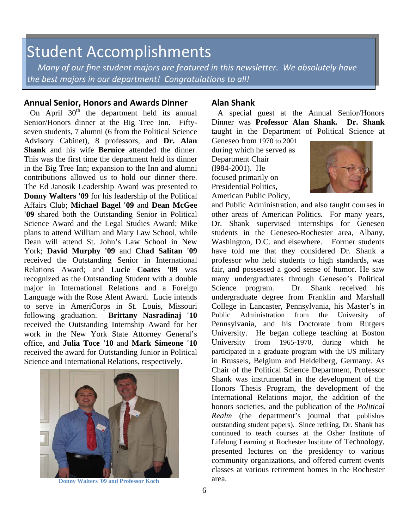## Student Accomplishments

 *Many of our fine student majors are featured in this newsletter. We absolutely have the best majors in our department! Congratulations to all!*

#### **Annual Senior, Honors and Awards Dinner**

On April  $30<sup>th</sup>$  the department held its annual Senior/Honors dinner at the Big Tree Inn. Fiftyseven students, 7 alumni (6 from the Political Science Advisory Cabinet), 8 professors, and **Dr. Alan Shank** and his wife **Bernice** attended the dinner. This was the first time the department held its dinner in the Big Tree Inn; expansion to the Inn and alumni contributions allowed us to hold our dinner there. The Ed Janosik Leadership Award was presented to **Donny Walters '09** for his leadership of the Political Affairs Club; **Michael Bagel '09** and **Dean McGee '09** shared both the Outstanding Senior in Political Science Award and the Legal Studies Award; Mike plans to attend William and Mary Law School, while Dean will attend St. John's Law School in New York; **David Murphy '09** and **Chad Salitan '09** received the Outstanding Senior in International Relations Award; and **Lucie Coates '09** was recognized as the Outstanding Student with a double major in International Relations and a Foreign Language with the Rose Alent Award. Lucie intends to serve in AmeriCorps in St. Louis, Missouri following graduation. **Brittany Nasradinaj '10** received the Outstanding Internship Award for her work in the New York State Attorney General's office, and **Julia Toce '10** and **Mark Simeone '10** received the award for Outstanding Junior in Political Science and International Relations, respectively.



**Donny Walters '09 and Professor Koch area.** area.

#### **Alan Shank**

A special guest at the Annual Senior/Honors Dinner was **Professor Alan Shank. Dr. Shank** taught in the Department of Political Science at

Geneseo from 1970 to 2001 during which he served as Department Chair (l984-2001). He focused primarily on Presidential Politics, American Public Policy,



and Public Administration, and also taught courses in other areas of American Politics. For many years, Dr. Shank supervised internships for Geneseo students in the Geneseo-Rochester area, Albany, Washington, D.C. and elsewhere. Former students have told me that they considered Dr. Shank a professor who held students to high standards, was fair, and possessed a good sense of humor. He saw many undergraduates through Geneseo's Political Science program. Dr. Shank received his undergraduate degree from Franklin and Marshall College in Lancaster, Pennsylvania, his Master's in Public Administration from the University of Pennsylvania, and his Doctorate from Rutgers University. He began college teaching at Boston University from 1965-1970, during which he participated in a graduate program with the US military in Brussels, Belgium and Heidelberg, Germany. As Chair of the Political Science Department, Professor Shank was instrumental in the development of the Honors Thesis Program, the development of the International Relations major, the addition of the honors societies, and the publication of the *Political Realm* (the department's journal that publishes outstanding student papers). Since retiring, Dr. Shank has continued to teach courses at the Osher Institute of Lifelong Learning at Rochester Institute of Technology, presented lectures on the presidency to various community organizations, and offered current events classes at various retirement homes in the Rochester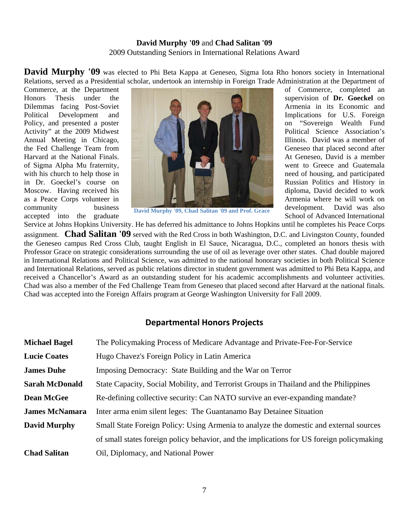#### **David Murphy '09** and **Chad Salitan '09** 2009 Outstanding Seniors in International Relations Award

**David Murphy '09** was elected to Phi Beta Kappa at Geneseo, Sigma Iota Rho honors society in International Relations, served as a Presidential scholar, undertook an internship in Foreign Trade Administration at the Department of

Commerce, at the Department **of Commerce**, completed an



community business **David Murphy '09, Chad Salitan '09 and Prof. Grace** development. David was also accepted into the graduate state of Senational Section of Advanced International

Service at Johns Hopkins University. He has deferred his admittance to Johns Hopkins until he completes his Peace Corps assignment. **Chad Salitan '09** served with the Red Cross in both Washington, D.C. and Livingston County, founded the Geneseo campus Red Cross Club, taught English in El Sauce, Nicaragua, D.C., completed an honors thesis with Professor Grace on strategic considerations surrounding the use of oil as leverage over other states. Chad double majored in International Relations and Political Science, was admitted to the national honorary societies in both Political Science and International Relations, served as public relations director in student government was admitted to Phi Beta Kappa, and received a Chancellor's Award as an outstanding student for his academic accomplishments and volunteer activities. Chad was also a member of the Fed Challenge Team from Geneseo that placed second after Harvard at the national finals. Chad was accepted into the Foreign Affairs program at George Washington University for Fall 2009.

### **Departmental Honors Projects**

| <b>Michael Bagel</b>  | The Policymaking Process of Medicare Advantage and Private-Fee-For-Service                |
|-----------------------|-------------------------------------------------------------------------------------------|
| <b>Lucie Coates</b>   | Hugo Chavez's Foreign Policy in Latin America                                             |
| <b>James Duhe</b>     | Imposing Democracy: State Building and the War on Terror                                  |
| <b>Sarah McDonald</b> | State Capacity, Social Mobility, and Terrorist Groups in Thailand and the Philippines     |
| <b>Dean McGee</b>     | Re-defining collective security: Can NATO survive an ever-expanding mandate?              |
| <b>James McNamara</b> | Inter arma enim silent leges: The Guantanamo Bay Detainee Situation                       |
| <b>David Murphy</b>   | Small State Foreign Policy: Using Armenia to analyze the domestic and external sources    |
|                       | of small states foreign policy behavior, and the implications for US foreign policymaking |
| <b>Chad Salitan</b>   | Oil, Diplomacy, and National Power                                                        |